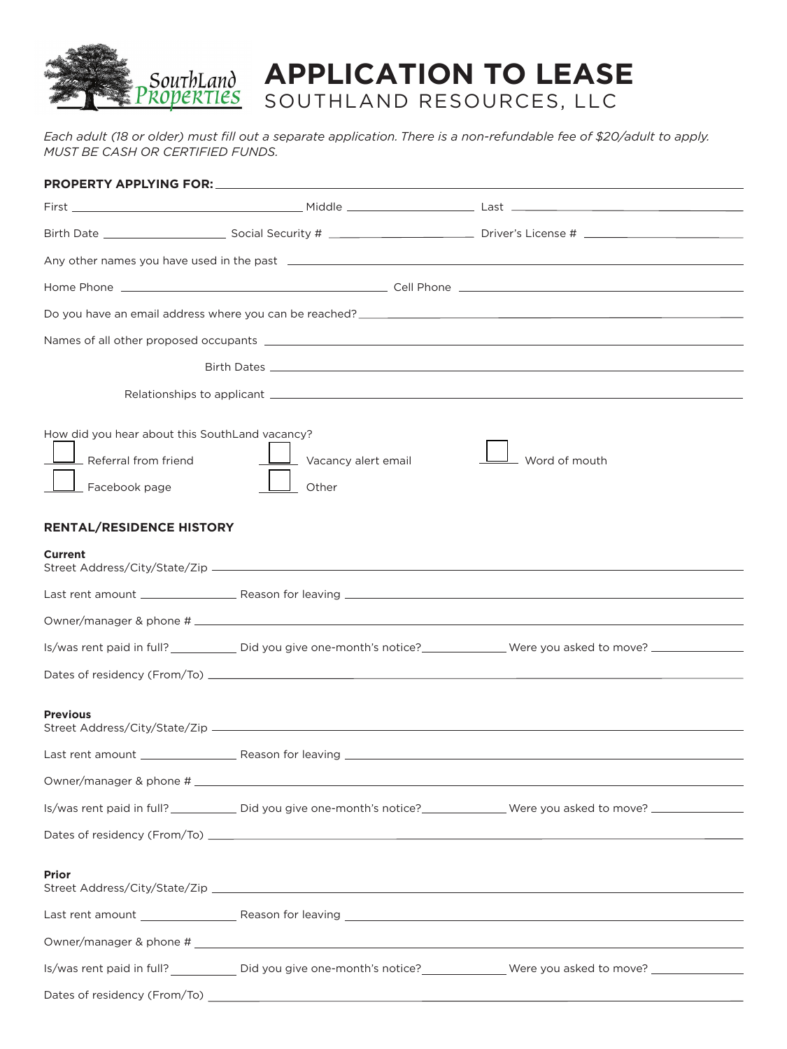

## **APPLICATION TO LEASE** SOUTHLAND RESOURCES, LLC

*Each adult (18 or older) must fill out a separate application. There is a non-refundable fee of \$20/adult to apply. MUST BE CASH OR CERTIFIED FUNDS.* 

| How did you hear about this SouthLand vacancy?<br>- Referral from friend<br>Facebook page | Vacancy alert email<br>Other | Word of mouth                                                                                                                           |
|-------------------------------------------------------------------------------------------|------------------------------|-----------------------------------------------------------------------------------------------------------------------------------------|
| RENTAL/RESIDENCE HISTORY                                                                  |                              |                                                                                                                                         |
| Current                                                                                   |                              |                                                                                                                                         |
|                                                                                           |                              |                                                                                                                                         |
|                                                                                           |                              |                                                                                                                                         |
|                                                                                           |                              | Is/was rent paid in full? _______________ Did you give one-month's notice? ________________Were you asked to move? ___________________  |
|                                                                                           |                              |                                                                                                                                         |
| <b>Previous</b>                                                                           |                              |                                                                                                                                         |
|                                                                                           |                              |                                                                                                                                         |
|                                                                                           |                              |                                                                                                                                         |
|                                                                                           |                              | Is/was rent paid in full? _____________ Did you give one-month's notice? ______________Were you asked to move? ________________________ |
|                                                                                           |                              |                                                                                                                                         |
| <b>Prior</b>                                                                              |                              |                                                                                                                                         |
|                                                                                           |                              |                                                                                                                                         |
|                                                                                           |                              |                                                                                                                                         |
|                                                                                           |                              | Is/was rent paid in full? _____________ Did you give one-month's notice? ______________Were you asked to move? ________________________ |
|                                                                                           |                              |                                                                                                                                         |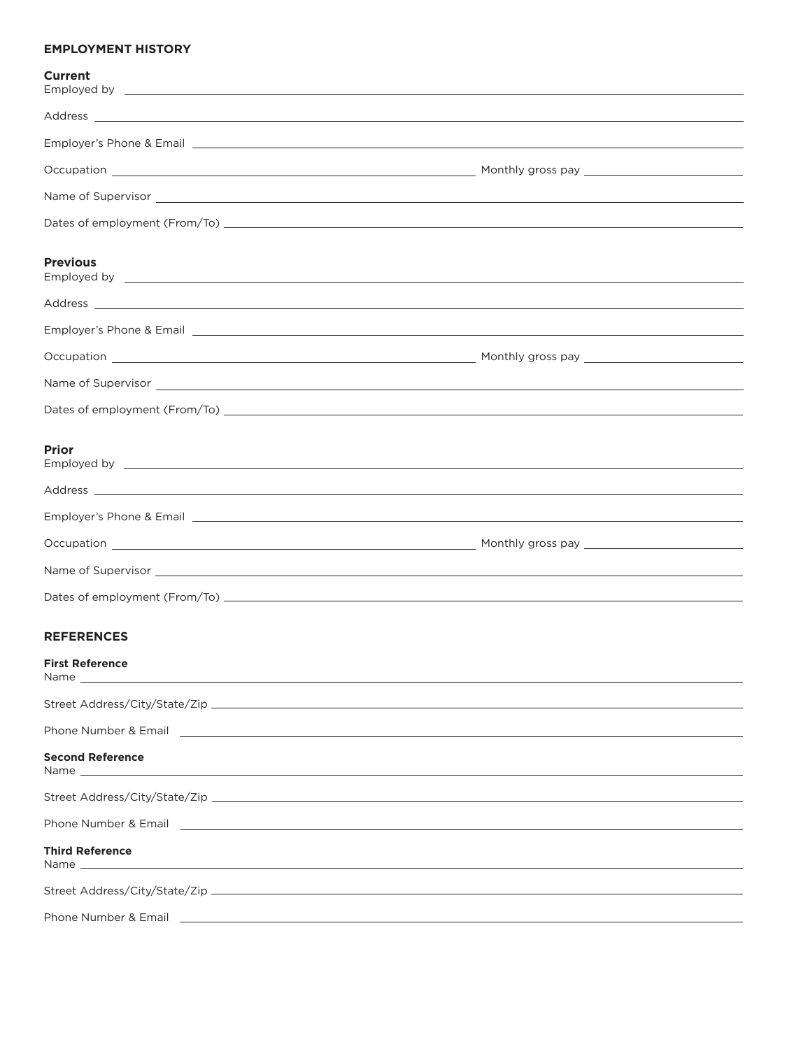## **EMPLOYMENT HISTORY**

| <b>Current</b>                                                                                                                                                                                                                                           |                                                                                                                                                                                                                                      |
|----------------------------------------------------------------------------------------------------------------------------------------------------------------------------------------------------------------------------------------------------------|--------------------------------------------------------------------------------------------------------------------------------------------------------------------------------------------------------------------------------------|
|                                                                                                                                                                                                                                                          |                                                                                                                                                                                                                                      |
|                                                                                                                                                                                                                                                          | Employer's Phone & Email entertainment and the contract of the contract of the contract of the contract of the                                                                                                                       |
|                                                                                                                                                                                                                                                          |                                                                                                                                                                                                                                      |
|                                                                                                                                                                                                                                                          | Name of Supervisor <u>example and the set of the set of the set of the set of the set of the set of the set of the set of the set of the set of the set of the set of the set of the set of the set of the set of the set of the</u> |
|                                                                                                                                                                                                                                                          |                                                                                                                                                                                                                                      |
| <b>Previous</b>                                                                                                                                                                                                                                          | Employed by experiment and the second state of the second state of the second state of the second state of the                                                                                                                       |
|                                                                                                                                                                                                                                                          | Address <b>contract to the contract of the contract of the contract of the contract of the contract of the contract of the contract of the contract of the contract of the contract of the contract of the contract of the contr</b> |
|                                                                                                                                                                                                                                                          | Employer's Phone & Email entertainment and the set of the set of the set of the set of the set of the set of the set of the set of the set of the set of the set of the set of the set of the set of the set of the set of the       |
|                                                                                                                                                                                                                                                          |                                                                                                                                                                                                                                      |
|                                                                                                                                                                                                                                                          | Name of Supervisor <u>example and the set of the set of the set of the set of the set of the set of the set of the set of the set of the set of the set of the set of the set of the set of the set of the set of the set of the</u> |
|                                                                                                                                                                                                                                                          |                                                                                                                                                                                                                                      |
| <b>Prior</b>                                                                                                                                                                                                                                             |                                                                                                                                                                                                                                      |
|                                                                                                                                                                                                                                                          |                                                                                                                                                                                                                                      |
|                                                                                                                                                                                                                                                          |                                                                                                                                                                                                                                      |
|                                                                                                                                                                                                                                                          |                                                                                                                                                                                                                                      |
|                                                                                                                                                                                                                                                          |                                                                                                                                                                                                                                      |
|                                                                                                                                                                                                                                                          |                                                                                                                                                                                                                                      |
| <b>REFERENCES</b>                                                                                                                                                                                                                                        |                                                                                                                                                                                                                                      |
| <b>First Reference</b><br>Name and the contract of the contract of the contract of the contract of the contract of the contract of the contract of the contract of the contract of the contract of the contract of the contract of the contract of the c |                                                                                                                                                                                                                                      |
|                                                                                                                                                                                                                                                          |                                                                                                                                                                                                                                      |
| Phone Number & Email 2008 2009 2010 2020 2020 2021 2022 2023 2024 2022 2023 2024 2022 2023 2024 2022 2023 2024                                                                                                                                           |                                                                                                                                                                                                                                      |
| <b>Second Reference</b>                                                                                                                                                                                                                                  |                                                                                                                                                                                                                                      |
|                                                                                                                                                                                                                                                          |                                                                                                                                                                                                                                      |
|                                                                                                                                                                                                                                                          |                                                                                                                                                                                                                                      |
| <b>Third Reference</b>                                                                                                                                                                                                                                   |                                                                                                                                                                                                                                      |
|                                                                                                                                                                                                                                                          |                                                                                                                                                                                                                                      |
|                                                                                                                                                                                                                                                          |                                                                                                                                                                                                                                      |